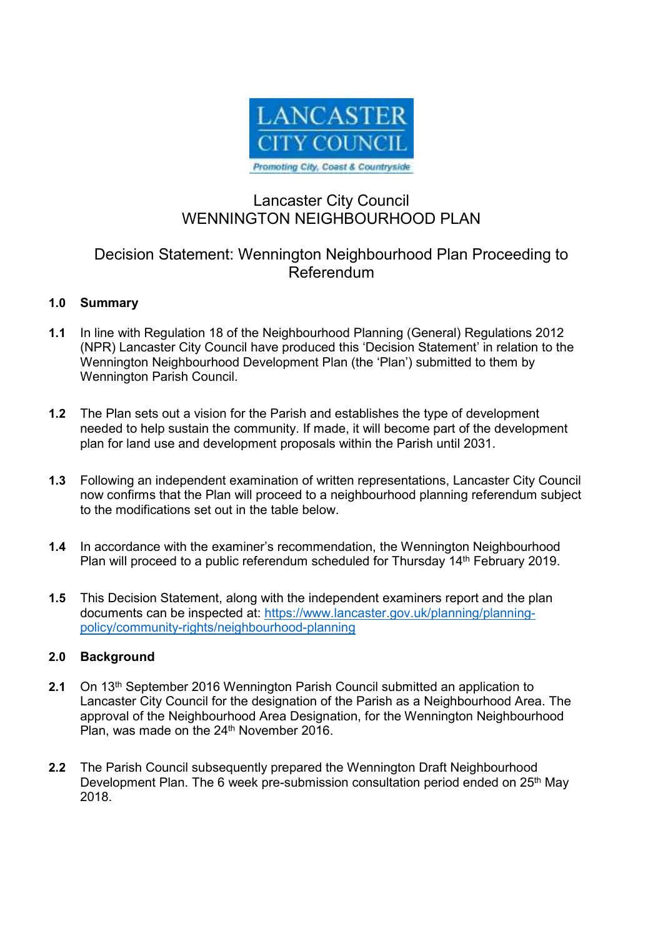

# Lancaster City Council WENNINGTON NEIGHBOURHOOD PLAN

## Decision Statement: Wennington Neighbourhood Plan Proceeding to Referendum

## **1.0 Summary**

- **1.1** In line with Regulation 18 of the Neighbourhood Planning (General) Regulations 2012 (NPR) Lancaster City Council have produced this 'Decision Statement' in relation to the Wennington Neighbourhood Development Plan (the 'Plan') submitted to them by Wennington Parish Council.
- **1.2** The Plan sets out a vision for the Parish and establishes the type of development needed to help sustain the community. If made, it will become part of the development plan for land use and development proposals within the Parish until 2031.
- **1.3** Following an independent examination of written representations, Lancaster City Council now confirms that the Plan will proceed to a neighbourhood planning referendum subject to the modifications set out in the table below.
- **1.4** In accordance with the examiner's recommendation, the Wennington Neighbourhood Plan will proceed to a public referendum scheduled for Thursday 14<sup>th</sup> February 2019.
- **1.5** This Decision Statement, along with the independent examiners report and the plan documents can be inspected at: https://www.lancaster.gov.uk/planning/planningpolicy/community-rights/neighbourhood-planning

### **2.0 Background**

- **2.1** On 13th September 2016 Wennington Parish Council submitted an application to Lancaster City Council for the designation of the Parish as a Neighbourhood Area. The approval of the Neighbourhood Area Designation, for the Wennington Neighbourhood Plan, was made on the 24<sup>th</sup> November 2016.
- **2.2** The Parish Council subsequently prepared the Wennington Draft Neighbourhood Development Plan. The 6 week pre-submission consultation period ended on 25<sup>th</sup> May 2018.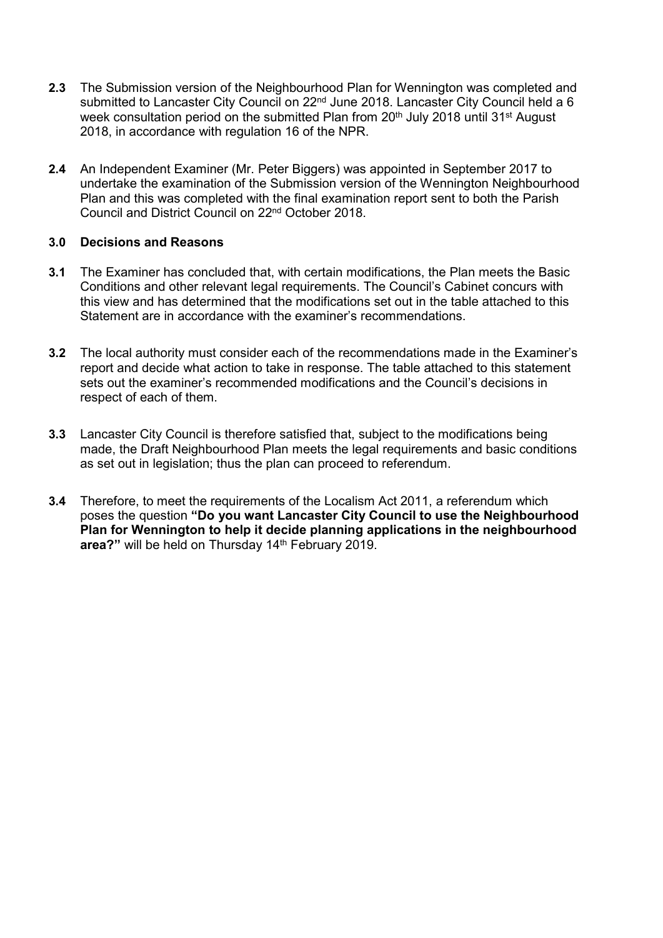- **2.3** The Submission version of the Neighbourhood Plan for Wennington was completed and submitted to Lancaster City Council on 22<sup>nd</sup> June 2018. Lancaster City Council held a 6 week consultation period on the submitted Plan from 20<sup>th</sup> July 2018 until 31<sup>st</sup> August 2018, in accordance with regulation 16 of the NPR.
- **2.4** An Independent Examiner (Mr. Peter Biggers) was appointed in September 2017 to undertake the examination of the Submission version of the Wennington Neighbourhood Plan and this was completed with the final examination report sent to both the Parish Council and District Council on 22nd October 2018.

#### **3.0 Decisions and Reasons**

- **3.1** The Examiner has concluded that, with certain modifications, the Plan meets the Basic Conditions and other relevant legal requirements. The Council's Cabinet concurs with this view and has determined that the modifications set out in the table attached to this Statement are in accordance with the examiner's recommendations.
- **3.2** The local authority must consider each of the recommendations made in the Examiner's report and decide what action to take in response. The table attached to this statement sets out the examiner's recommended modifications and the Council's decisions in respect of each of them.
- **3.3** Lancaster City Council is therefore satisfied that, subject to the modifications being made, the Draft Neighbourhood Plan meets the legal requirements and basic conditions as set out in legislation; thus the plan can proceed to referendum.
- **3.4** Therefore, to meet the requirements of the Localism Act 2011, a referendum which poses the question **"Do you want Lancaster City Council to use the Neighbourhood Plan for Wennington to help it decide planning applications in the neighbourhood**  area?" will be held on Thursday 14<sup>th</sup> February 2019.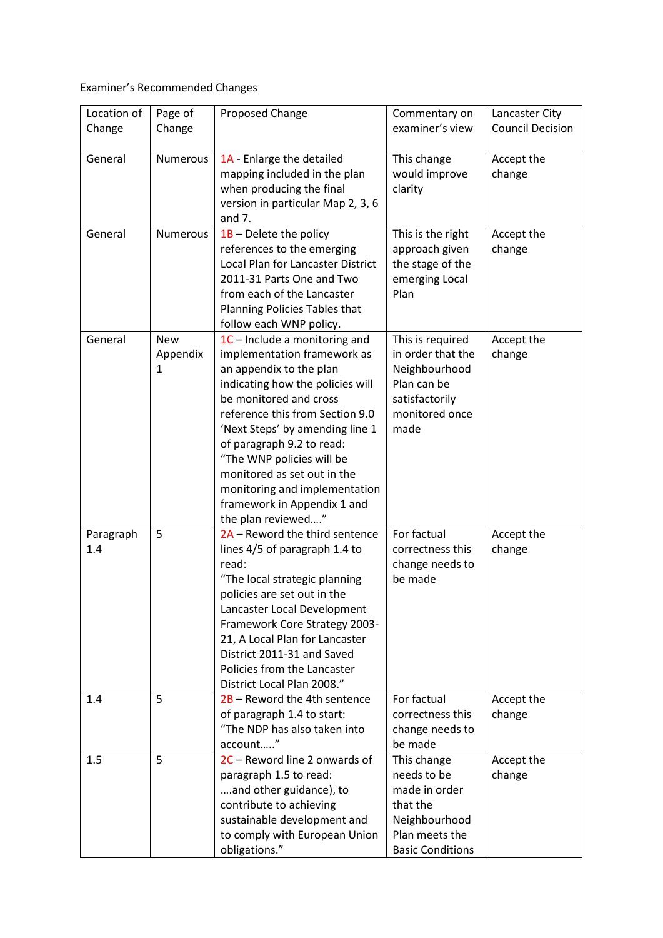Examiner's Recommended Changes

| Location of      | Page of                     | Proposed Change                                                                                                                                                                                                                                                                                                                                                                                            | Commentary on                                                                                                         | Lancaster City          |
|------------------|-----------------------------|------------------------------------------------------------------------------------------------------------------------------------------------------------------------------------------------------------------------------------------------------------------------------------------------------------------------------------------------------------------------------------------------------------|-----------------------------------------------------------------------------------------------------------------------|-------------------------|
| Change           | Change                      |                                                                                                                                                                                                                                                                                                                                                                                                            | examiner's view                                                                                                       | <b>Council Decision</b> |
| General          | <b>Numerous</b>             | 1A - Enlarge the detailed<br>mapping included in the plan<br>when producing the final<br>version in particular Map 2, 3, 6<br>and $7.$                                                                                                                                                                                                                                                                     | This change<br>would improve<br>clarity                                                                               | Accept the<br>change    |
| General          | <b>Numerous</b>             | $1B$ – Delete the policy<br>references to the emerging<br>Local Plan for Lancaster District<br>2011-31 Parts One and Two<br>from each of the Lancaster<br>Planning Policies Tables that<br>follow each WNP policy.                                                                                                                                                                                         | This is the right<br>approach given<br>the stage of the<br>emerging Local<br>Plan                                     | Accept the<br>change    |
| General          | <b>New</b><br>Appendix<br>1 | 1C - Include a monitoring and<br>implementation framework as<br>an appendix to the plan<br>indicating how the policies will<br>be monitored and cross<br>reference this from Section 9.0<br>'Next Steps' by amending line 1<br>of paragraph 9.2 to read:<br>"The WNP policies will be<br>monitored as set out in the<br>monitoring and implementation<br>framework in Appendix 1 and<br>the plan reviewed" | This is required<br>in order that the<br>Neighbourhood<br>Plan can be<br>satisfactorily<br>monitored once<br>made     | Accept the<br>change    |
| Paragraph<br>1.4 | 5                           | 2A - Reword the third sentence<br>lines 4/5 of paragraph 1.4 to<br>read:<br>"The local strategic planning<br>policies are set out in the<br>Lancaster Local Development<br>Framework Core Strategy 2003-<br>21, A Local Plan for Lancaster<br>District 2011-31 and Saved<br>Policies from the Lancaster<br>District Local Plan 2008."                                                                      | For factual<br>correctness this<br>change needs to<br>be made                                                         | Accept the<br>change    |
| 1.4              | 5                           | 2B - Reword the 4th sentence<br>of paragraph 1.4 to start:<br>"The NDP has also taken into<br>account"                                                                                                                                                                                                                                                                                                     | For factual<br>correctness this<br>change needs to<br>be made                                                         | Accept the<br>change    |
| 1.5              | 5                           | 2C - Reword line 2 onwards of<br>paragraph 1.5 to read:<br>and other guidance), to<br>contribute to achieving<br>sustainable development and<br>to comply with European Union<br>obligations."                                                                                                                                                                                                             | This change<br>needs to be<br>made in order<br>that the<br>Neighbourhood<br>Plan meets the<br><b>Basic Conditions</b> | Accept the<br>change    |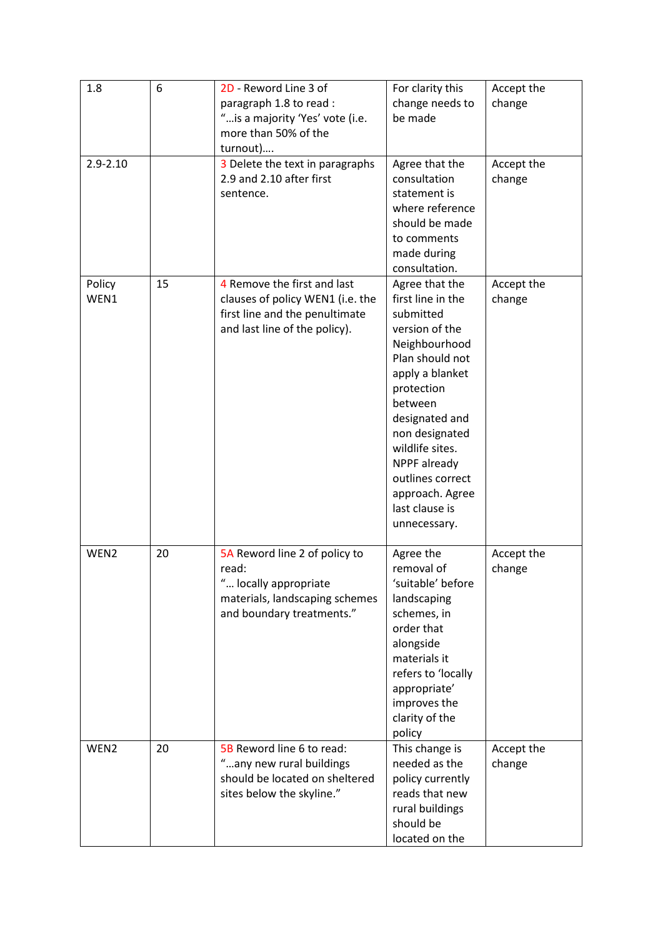| 1.8            | 6  | 2D - Reword Line 3 of<br>paragraph 1.8 to read :<br>" is a majority 'Yes' vote (i.e.<br>more than 50% of the<br>turnout)           | For clarity this<br>change needs to<br>be made                                                                                                                                                                                                                                                     | Accept the<br>change |
|----------------|----|------------------------------------------------------------------------------------------------------------------------------------|----------------------------------------------------------------------------------------------------------------------------------------------------------------------------------------------------------------------------------------------------------------------------------------------------|----------------------|
| $2.9 - 2.10$   |    | 3 Delete the text in paragraphs<br>2.9 and 2.10 after first<br>sentence.                                                           | Agree that the<br>consultation<br>statement is<br>where reference<br>should be made<br>to comments<br>made during<br>consultation.                                                                                                                                                                 | Accept the<br>change |
| Policy<br>WEN1 | 15 | 4 Remove the first and last<br>clauses of policy WEN1 (i.e. the<br>first line and the penultimate<br>and last line of the policy). | Agree that the<br>first line in the<br>submitted<br>version of the<br>Neighbourhood<br>Plan should not<br>apply a blanket<br>protection<br>between<br>designated and<br>non designated<br>wildlife sites.<br>NPPF already<br>outlines correct<br>approach. Agree<br>last clause is<br>unnecessary. | Accept the<br>change |
| WEN2           | 20 | 5A Reword line 2 of policy to<br>read:<br>" locally appropriate<br>materials, landscaping schemes<br>and boundary treatments."     | Agree the<br>removal of<br>'suitable' before<br>landscaping<br>schemes, in<br>order that<br>alongside<br>materials it<br>refers to 'locally<br>appropriate'<br>improves the<br>clarity of the<br>policy                                                                                            | Accept the<br>change |
| WEN2           | 20 | 5B Reword line 6 to read:<br>"any new rural buildings<br>should be located on sheltered<br>sites below the skyline."               | This change is<br>needed as the<br>policy currently<br>reads that new<br>rural buildings<br>should be<br>located on the                                                                                                                                                                            | Accept the<br>change |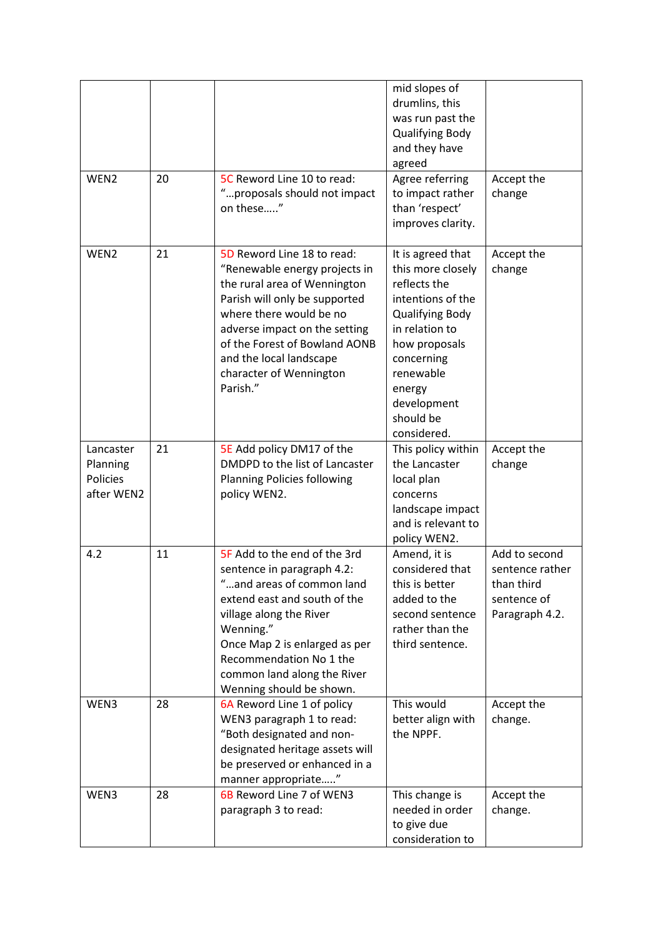|                                                 |    |                                                                                                                                                                                                                                                                                             | mid slopes of<br>drumlins, this<br>was run past the<br><b>Qualifying Body</b><br>and they have<br>agreed                                                                                                                 |                                                                                 |
|-------------------------------------------------|----|---------------------------------------------------------------------------------------------------------------------------------------------------------------------------------------------------------------------------------------------------------------------------------------------|--------------------------------------------------------------------------------------------------------------------------------------------------------------------------------------------------------------------------|---------------------------------------------------------------------------------|
| WEN <sub>2</sub>                                | 20 | 5C Reword Line 10 to read:<br>"proposals should not impact<br>on these"                                                                                                                                                                                                                     | Agree referring<br>to impact rather<br>than 'respect'<br>improves clarity.                                                                                                                                               | Accept the<br>change                                                            |
| WEN <sub>2</sub>                                | 21 | 5D Reword Line 18 to read:<br>"Renewable energy projects in<br>the rural area of Wennington<br>Parish will only be supported<br>where there would be no<br>adverse impact on the setting<br>of the Forest of Bowland AONB<br>and the local landscape<br>character of Wennington<br>Parish." | It is agreed that<br>this more closely<br>reflects the<br>intentions of the<br><b>Qualifying Body</b><br>in relation to<br>how proposals<br>concerning<br>renewable<br>energy<br>development<br>should be<br>considered. | Accept the<br>change                                                            |
| Lancaster<br>Planning<br>Policies<br>after WEN2 | 21 | 5E Add policy DM17 of the<br>DMDPD to the list of Lancaster<br>Planning Policies following<br>policy WEN2.                                                                                                                                                                                  | This policy within<br>the Lancaster<br>local plan<br>concerns<br>landscape impact<br>and is relevant to<br>policy WEN2.                                                                                                  | Accept the<br>change                                                            |
| 4.2                                             | 11 | 5F Add to the end of the 3rd<br>sentence in paragraph 4.2:<br>and areas of common land<br>extend east and south of the<br>village along the River<br>Wenning."<br>Once Map 2 is enlarged as per<br>Recommendation No 1 the<br>common land along the River<br>Wenning should be shown.       | Amend, it is<br>considered that<br>this is better<br>added to the<br>second sentence<br>rather than the<br>third sentence.                                                                                               | Add to second<br>sentence rather<br>than third<br>sentence of<br>Paragraph 4.2. |
| WEN3                                            | 28 | 6A Reword Line 1 of policy<br>WEN3 paragraph 1 to read:<br>"Both designated and non-<br>designated heritage assets will<br>be preserved or enhanced in a<br>manner appropriate"                                                                                                             | This would<br>better align with<br>the NPPF.                                                                                                                                                                             | Accept the<br>change.                                                           |
| WEN3                                            | 28 | 6B Reword Line 7 of WEN3<br>paragraph 3 to read:                                                                                                                                                                                                                                            | This change is<br>needed in order<br>to give due<br>consideration to                                                                                                                                                     | Accept the<br>change.                                                           |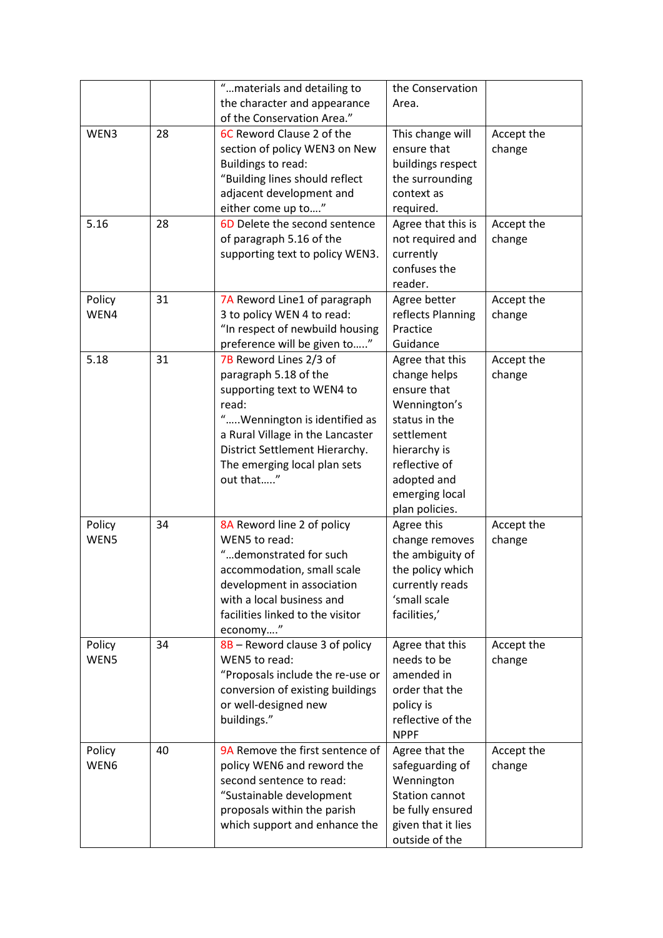|        |    | "materials and detailing to      | the Conservation      |            |
|--------|----|----------------------------------|-----------------------|------------|
|        |    | the character and appearance     | Area.                 |            |
|        |    | of the Conservation Area."       |                       |            |
| WEN3   | 28 | 6C Reword Clause 2 of the        | This change will      | Accept the |
|        |    | section of policy WEN3 on New    | ensure that           | change     |
|        |    | Buildings to read:               | buildings respect     |            |
|        |    | "Building lines should reflect   | the surrounding       |            |
|        |    | adjacent development and         | context as            |            |
|        |    | either come up to"               | required.             |            |
| 5.16   | 28 | 6D Delete the second sentence    | Agree that this is    | Accept the |
|        |    | of paragraph 5.16 of the         | not required and      | change     |
|        |    | supporting text to policy WEN3.  | currently             |            |
|        |    |                                  | confuses the          |            |
|        |    |                                  | reader.               |            |
| Policy | 31 | 7A Reword Line1 of paragraph     | Agree better          | Accept the |
| WEN4   |    | 3 to policy WEN 4 to read:       | reflects Planning     | change     |
|        |    | "In respect of newbuild housing  | Practice              |            |
|        |    | preference will be given to"     | Guidance              |            |
| 5.18   | 31 | 7B Reword Lines 2/3 of           | Agree that this       | Accept the |
|        |    | paragraph 5.18 of the            | change helps          | change     |
|        |    | supporting text to WEN4 to       | ensure that           |            |
|        |    | read:                            | Wennington's          |            |
|        |    | "Wennington is identified as     | status in the         |            |
|        |    | a Rural Village in the Lancaster | settlement            |            |
|        |    | District Settlement Hierarchy.   | hierarchy is          |            |
|        |    | The emerging local plan sets     | reflective of         |            |
|        |    | out that"                        | adopted and           |            |
|        |    |                                  | emerging local        |            |
|        |    |                                  | plan policies.        |            |
| Policy | 34 | 8A Reword line 2 of policy       | Agree this            | Accept the |
| WEN5   |    | WEN5 to read:                    | change removes        | change     |
|        |    | "demonstrated for such           | the ambiguity of      |            |
|        |    | accommodation, small scale       | the policy which      |            |
|        |    | development in association       | currently reads       |            |
|        |    | with a local business and        | 'small scale          |            |
|        |    | facilities linked to the visitor | facilities,'          |            |
|        |    | economy"                         |                       |            |
| Policy | 34 | 8B - Reword clause 3 of policy   | Agree that this       | Accept the |
| WEN5   |    | WEN5 to read:                    | needs to be           | change     |
|        |    | "Proposals include the re-use or | amended in            |            |
|        |    | conversion of existing buildings | order that the        |            |
|        |    | or well-designed new             | policy is             |            |
|        |    | buildings."                      | reflective of the     |            |
|        |    |                                  | <b>NPPF</b>           |            |
| Policy | 40 | 9A Remove the first sentence of  | Agree that the        | Accept the |
| WEN6   |    | policy WEN6 and reword the       | safeguarding of       | change     |
|        |    | second sentence to read:         | Wennington            |            |
|        |    | "Sustainable development         | <b>Station cannot</b> |            |
|        |    | proposals within the parish      | be fully ensured      |            |
|        |    | which support and enhance the    | given that it lies    |            |
|        |    |                                  | outside of the        |            |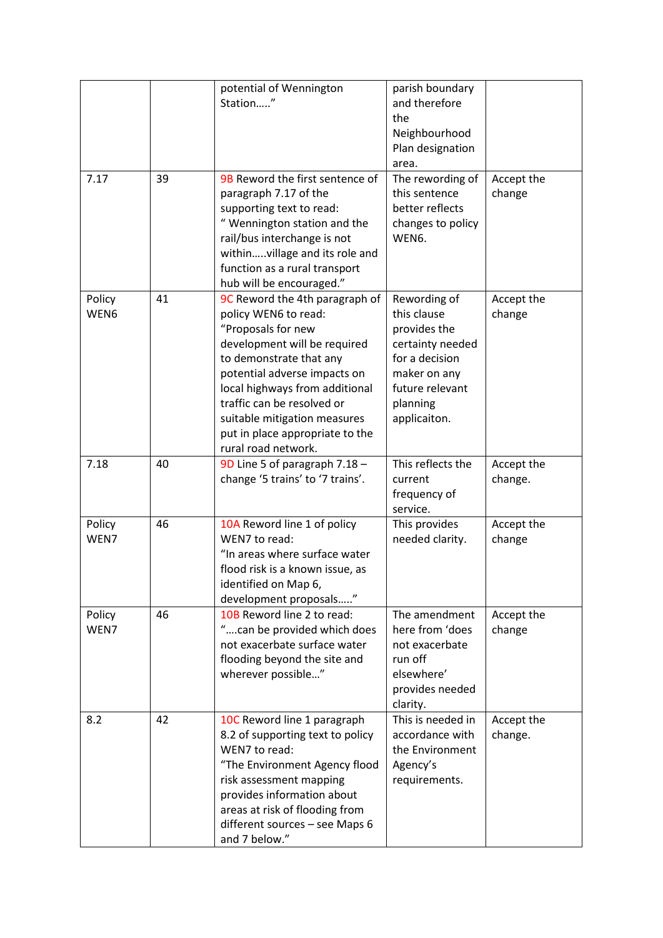|                |    | potential of Wennington<br>Station"                                                                                                                                                                                                                                                                                               | parish boundary<br>and therefore<br>the<br>Neighbourhood<br>Plan designation<br>area.                                                            |                       |
|----------------|----|-----------------------------------------------------------------------------------------------------------------------------------------------------------------------------------------------------------------------------------------------------------------------------------------------------------------------------------|--------------------------------------------------------------------------------------------------------------------------------------------------|-----------------------|
| 7.17           | 39 | 9B Reword the first sentence of<br>paragraph 7.17 of the<br>supporting text to read:<br>" Wennington station and the<br>rail/bus interchange is not<br>withinvillage and its role and<br>function as a rural transport<br>hub will be encouraged."                                                                                | The rewording of<br>this sentence<br>better reflects<br>changes to policy<br>WEN6.                                                               | Accept the<br>change  |
| Policy<br>WEN6 | 41 | 9C Reword the 4th paragraph of<br>policy WEN6 to read:<br>"Proposals for new<br>development will be required<br>to demonstrate that any<br>potential adverse impacts on<br>local highways from additional<br>traffic can be resolved or<br>suitable mitigation measures<br>put in place appropriate to the<br>rural road network. | Rewording of<br>this clause<br>provides the<br>certainty needed<br>for a decision<br>maker on any<br>future relevant<br>planning<br>applicaiton. | Accept the<br>change  |
| 7.18           | 40 | 9D Line 5 of paragraph 7.18 -<br>change '5 trains' to '7 trains'.                                                                                                                                                                                                                                                                 | This reflects the<br>current<br>frequency of<br>service.                                                                                         | Accept the<br>change. |
| Policy<br>WEN7 | 46 | 10A Reword line 1 of policy<br>WEN7 to read:<br>"In areas where surface water<br>flood risk is a known issue, as<br>identified on Map 6,<br>development proposals"                                                                                                                                                                | This provides<br>needed clarity.                                                                                                                 | Accept the<br>change  |
| Policy<br>WEN7 | 46 | 10B Reword line 2 to read:<br>can be provided which does<br>not exacerbate surface water<br>flooding beyond the site and<br>wherever possible"                                                                                                                                                                                    | The amendment<br>here from 'does<br>not exacerbate<br>run off<br>elsewhere'<br>provides needed<br>clarity.                                       | Accept the<br>change  |
| 8.2            | 42 | 10C Reword line 1 paragraph<br>8.2 of supporting text to policy<br>WEN7 to read:<br>"The Environment Agency flood<br>risk assessment mapping<br>provides information about<br>areas at risk of flooding from<br>different sources - see Maps 6<br>and 7 below."                                                                   | This is needed in<br>accordance with<br>the Environment<br>Agency's<br>requirements.                                                             | Accept the<br>change. |